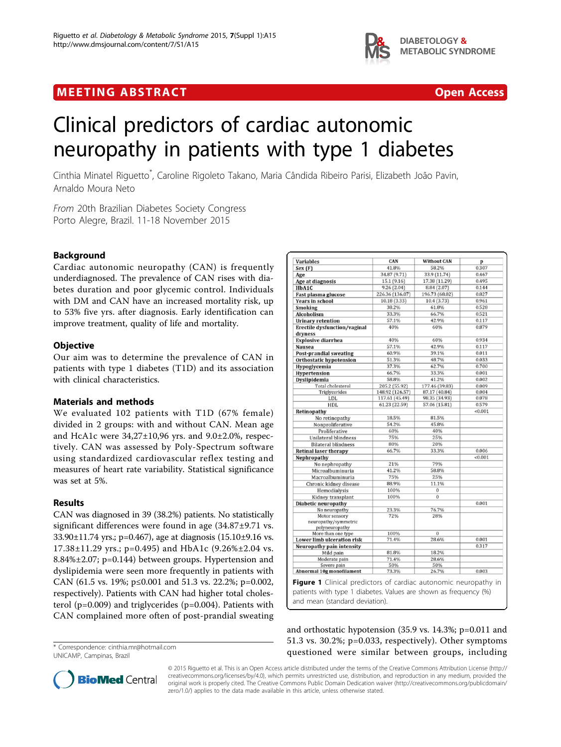## **MEETING ABSTRACT CONSUMING ABOUT ACCESS**



# Clinical predictors of cardiac autonomic neuropathy in patients with type 1 diabetes

Cinthia Minatel Riguetto<sup>\*</sup>, Caroline Rigoleto Takano, Maria Cândida Ribeiro Parisi, Elizabeth João Pavin, Arnaldo Moura Neto

From 20th Brazilian Diabetes Society Congress Porto Alegre, Brazil. 11-18 November 2015

### Background

Cardiac autonomic neuropathy (CAN) is frequently underdiagnosed. The prevalence of CAN rises with diabetes duration and poor glycemic control. Individuals with DM and CAN have an increased mortality risk, up to 53% five yrs. after diagnosis. Early identification can improve treatment, quality of life and mortality.

#### **Objective**

Our aim was to determine the prevalence of CAN in patients with type 1 diabetes (T1D) and its association with clinical characteristics.

#### Materials and methods

We evaluated 102 patients with T1D (67% female) divided in 2 groups: with and without CAN. Mean age and HcA1c were 34,27±10,96 yrs. and 9.0±2.0%, respectively. CAN was assessed by Poly-Spectrum software using standardized cardiovascular reflex testing and measures of heart rate variability. Statistical significance was set at 5%.

#### Results

CAN was diagnosed in 39 (38.2%) patients. No statistically significant differences were found in age (34.87±9.71 vs. 33.90±11.74 yrs.; p=0.467), age at diagnosis (15.10±9.16 vs. 17.38±11.29 yrs.; p=0.495) and HbA1c (9.26%±2.04 vs. 8.84%±2.07; p=0.144) between groups. Hypertension and dyslipidemia were seen more frequently in patients with CAN (61.5 vs. 19%; p≤0.001 and 51.3 vs. 22.2%; p=0.002, respectively). Patients with CAN had higher total cholesterol (p=0.009) and triglycerides (p=0.004). Patients with CAN complained more often of post-prandial sweating

UNICAMP, Campinas, Brazil

| Variables                           | CAN                              | Without CAN                     | p              |
|-------------------------------------|----------------------------------|---------------------------------|----------------|
| Sex(F)                              | 41.8%                            | 58.2%                           | 0.307          |
| Age                                 | 34.87 (9.71)                     | 33.9 (11.74)                    | 0.467          |
| Age at diagnosis                    | 15.1 (9.16)                      | 17.38 (11.29)                   | 0.495          |
| HbA1C                               | 9.26(2.04)                       | 8.84 (2.07)                     | 0.144          |
| Fast plasma glucose                 | 226.36 (136.07)                  | 196.73 (68.02)                  | 0.827          |
| <b>Years in school</b>              | 10.18 (3.33)                     | 10.4 (3.73)                     | 0.961          |
| Smoking                             | 38.2%                            | 61.8%                           | 0.528          |
| <b>Alcoholism</b>                   | 33.3%                            | 66.7%                           | 0.521          |
| <b>Urinary retention</b>            | 57.1%                            | 42.9%                           | 0.117          |
| <b>Erectile dysfunction/vaginal</b> | 40%                              | 60%                             | 0.879          |
| dryness                             |                                  |                                 |                |
| <b>Explosive diarrhea</b>           | 40%                              | 60%                             | 0.934          |
| <b>Nausea</b>                       | 57.1%                            | 42.9%                           | 0.117          |
| Post-prandial sweating              | 60.9%                            | 39.1%                           | 0.011          |
| Orthostatic hypotension             | 51.3%                            | 48.7%                           | 0.033          |
| Hypoglycemia                        | 37.3%                            | 62.7%                           | 0.700          |
| Hypertension                        | 66.7%                            | 33.3%                           | 0.001          |
|                                     | 58.8%                            | 41.2%                           | 0.002          |
| Dyslipidemia<br>Total cholesterol   |                                  |                                 |                |
| Triglycerides                       | 205.2 (55.92)<br>148.92 (126.57) | 177.46 (39.83)<br>87.17 (40.84) | 0.009<br>0.004 |
| LDL                                 | 117.61 (45.49)                   | 98.35 (34.93)                   | 0.078          |
| <b>HDL</b>                          | 61.23 (22.59)                    | 57.06 (15.81)                   | 0.579          |
|                                     |                                  |                                 | < 0.001        |
| Retinopathy                         |                                  |                                 |                |
| No retinopathy                      | 18.5%                            | 81.5%                           |                |
| Nonproliferative                    | 54.2%                            | 45.8%                           |                |
| Proliferative                       | 60%                              | 40%                             |                |
| Unilateral blindness                | 75%                              | 25%                             |                |
| <b>Bilateral blindness</b>          | 80%                              | 20%                             |                |
| <b>Retinal laser therapy</b>        | 66.7%                            | 33.3%                           | 0.006          |
| Nephropathy                         |                                  |                                 | < 0.001        |
| No nephropathy                      | 21%                              | 79%                             |                |
| Microalbuminuria                    | 41.2%                            | 58.8%                           |                |
| Macroalbuminuria                    | 75%                              | 25%                             |                |
| Chronic kidney disease              | 88.9%                            | 11.1%                           |                |
| Hemodialysis                        | 100%                             | $\bf{0}$                        |                |
| Kidney transplant                   | 100%                             | $\overline{0}$                  |                |
| <b>Diabetic neuropathy</b>          |                                  |                                 | 0.001          |
| No neuropathy                       | 23.3%                            | 76.7%                           |                |
| Motor sensory                       | 72%                              | 28%                             |                |
| neuropathy/symmetric                |                                  |                                 |                |
| polyneuropathy                      |                                  |                                 |                |
| More than one type                  | 100%                             | $\overline{0}$                  |                |
| Lower limb ulceration risk          | 71.4%                            | 28.6%                           | 0.001          |
| Neuropathy pain intensity           |                                  |                                 | 0.317          |
| Mild pain                           | 81.8%                            | 18.2%                           |                |
| Moderate pain                       | 71.4%                            | 28.6%                           |                |
| Severe pain                         | 50%                              | 50%                             |                |
| Abnormal 10g monofilament           | 73.3%                            | 26.7%                           | 0.003          |

and mean (standard deviation).

and orthostatic hypotension (35.9 vs. 14.3%; p=0.011 and 51.3 vs. 30.2%; p=0.033, respectively). Other symptoms \* Correspondence: [cinthia.mr@hotmail.com](mailto:cinthia.mr@hotmail.com) **and the state of the correspondence: cinthia.mr@hotmail.com and the correspondence: cinthia.mr@hotmail.com and the correspondence: cinthia.mr@hotmail.com and the corresponden** 



© 2015 Riguetto et al. This is an Open Access article distributed under the terms of the Creative Commons Attribution License [\(http://](http://creativecommons.org/licenses/by/4.0) [creativecommons.org/licenses/by/4.0](http://creativecommons.org/licenses/by/4.0)), which permits unrestricted use, distribution, and reproduction in any medium, provided the original work is properly cited. The Creative Commons Public Domain Dedication waiver ([http://creativecommons.org/publicdomain/](http://creativecommons.org/publicdomain/zero/1.0/) [zero/1.0/](http://creativecommons.org/publicdomain/zero/1.0/)) applies to the data made available in this article, unless otherwise stated.